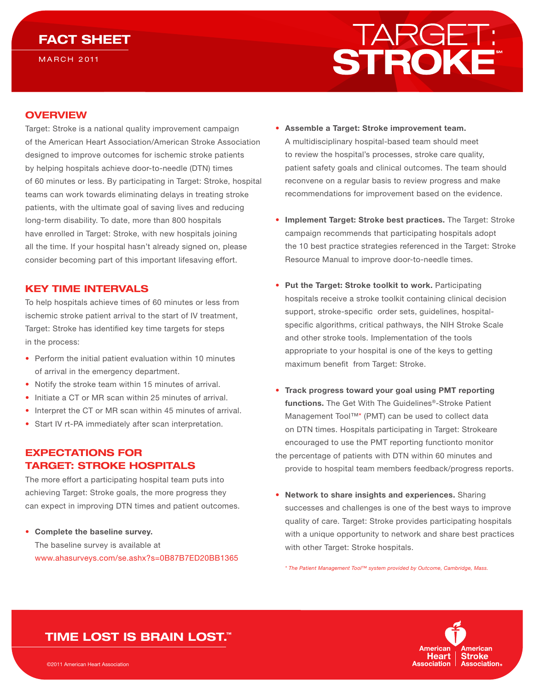# FACT SHEET

**MARCH 2011** 



### **OVERVIEW**

Target: Stroke is a national quality improvement campaign of the American Heart Association/American Stroke Association designed to improve outcomes for ischemic stroke patients by helping hospitals achieve door-to-needle (DTN) times of 60 minutes or less. By participating in Target: Stroke, hospital teams can work towards eliminating delays in treating stroke patients, with the ultimate goal of saving lives and reducing long-term disability. To date, more than 800 hospitals have enrolled in Target: Stroke, with new hospitals joining all the time. If your hospital hasn't already signed on, please consider becoming part of this important lifesaving effort.

#### KEY TIME INTERVALS

To help hospitals achieve times of 60 minutes or less from ischemic stroke patient arrival to the start of IV treatment, Target: Stroke has identified key time targets for steps in the process:

- Perform the initial patient evaluation within 10 minutes of arrival in the emergency department.
- Notify the stroke team within 15 minutes of arrival.
- Initiate a CT or MR scan within 25 minutes of arrival.
- Interpret the CT or MR scan within 45 minutes of arrival.
- Start IV rt-PA immediately after scan interpretation.

## EXPECTATIONS FOR TARGET: STROKE HOSPITALS

The more effort a participating hospital team puts into achieving Target: Stroke goals, the more progress they can expect in improving DTN times and patient outcomes.

### • Complete the baseline survey. The baseline survey is available at [www.ahasurveys.com/se.ashx?s=0B87B7ED20BB1365](http://www.ahasurveys.com/se.ashx?s=0B87B7ED20BB1365)

- Assemble a Target: Stroke improvement team. A multidisciplinary hospital-based team should meet to review the hospital's processes, stroke care quality, patient safety goals and clinical outcomes. The team should reconvene on a regular basis to review progress and make recommendations for improvement based on the evidence.
- Implement Target: Stroke best practices. The Target: Stroke campaign recommends that participating hospitals adopt the 10 best practice strategies referenced in the Target: Stroke Resource Manual to improve door-to-needle times.
- Put the Target: Stroke toolkit to work. Participating hospitals receive a stroke toolkit containing clinical decision support, stroke-specific order sets, guidelines, hospitalspecific algorithms, critical pathways, the NIH Stroke Scale and other stroke tools. Implementation of the tools appropriate to your hospital is one of the keys to getting maximum benefit from Target: Stroke.
- Track progress toward your goal using PMT reporting functions. The Get With The Guidelines®-Stroke Patient Management Tool™\* (PMT) can be used to collect data on DTN times. Hospitals participating in Target: Strokeare encouraged to use the PMT reporting functionto monitor the percentage of patients with DTN within 60 minutes and provide to hospital team members feedback/progress reports.
- Network to share insights and experiences. Sharing successes and challenges is one of the best ways to improve quality of care. Target: Stroke provides participating hospitals with a unique opportunity to network and share best practices with other Target: Stroke hospitals.

*\* The Patient Management Tool™ system provided by Outcome, Cambridge, Mass.*



# TIME LOST IS BRAIN LOST.™